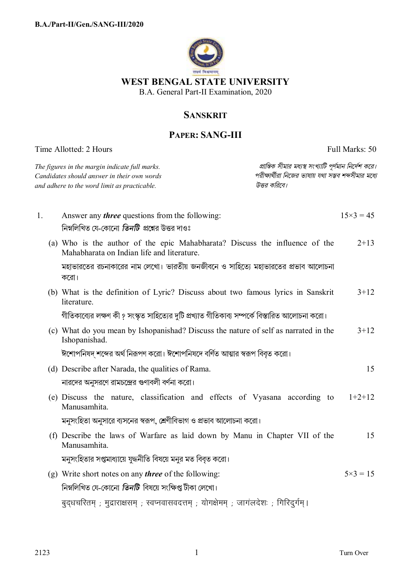

## **SANSKRIT**

## **PAPER: SANG-III**

Time Allotted: 2 Hours Full Marks: 50

|    | The figures in the margin indicate full marks.<br>Candidates should answer in their own words<br>and adhere to the word limit as practicable. | প্রান্তিক সীমার মধ্যস্থ সংখ্যাটি পূর্ণমান নির্দেশ করে।<br>পরীক্ষার্থীরা নিজের ভাষায় যথা সম্ভব শব্দসীমার মধ্যে<br>উত্তর করিবে। |                   |
|----|-----------------------------------------------------------------------------------------------------------------------------------------------|--------------------------------------------------------------------------------------------------------------------------------|-------------------|
| 1. | Answer any <i>three</i> questions from the following:<br>নিম্নলিখিত যে-কোনো <i>তিনটি প্র</i> শ্নের উত্তর দাওঃ                                 |                                                                                                                                | $15\times3 = 45$  |
|    | (a) Who is the author of the epic Mahabharata? Discuss the influence of the<br>Mahabharata on Indian life and literature.                     |                                                                                                                                | $2+13$            |
|    | মহাভারতের রচনাকারের নাম লেখো। ভারতীয় জনজীবনে ও সাহিত্যে মহাভারতের প্রভাব আলোচনা<br>করো।                                                      |                                                                                                                                |                   |
|    | (b) What is the definition of Lyric? Discuss about two famous lyrics in Sanskrit<br>literature.                                               |                                                                                                                                | $3 + 12$          |
|    | গীতিকাব্যের লক্ষণ কী ? সংস্কৃত সাহিত্যের দুটি প্রখ্যাত গীতিকাব্য সম্পর্কে বিস্তারিত আলোচনা করো।                                               |                                                                                                                                |                   |
|    | (c) What do you mean by Ishopanishad? Discuss the nature of self as narrated in the<br>Ishopanishad.                                          |                                                                                                                                | $3 + 12$          |
|    | ঈশোপনিষদ শব্দের অর্থ নিরূপণ করো। ঈশোপনিষদে বর্ণিত আত্মার স্বরূপ বিবৃত করো।                                                                    |                                                                                                                                |                   |
|    | (d) Describe after Narada, the qualities of Rama.                                                                                             |                                                                                                                                | 15                |
|    | নারদের অনুসরণে রামচন্দ্রের গুণাবলী বর্ণনা করো।                                                                                                |                                                                                                                                |                   |
|    | (e) Discuss the nature, classification and effects of Vyasana according to<br>Manusamhita.                                                    |                                                                                                                                | $1+2+12$          |
|    | মনুসংহিতা অনুসারে ব্যসনের স্বরূপ, শ্রেণীবিভাগ ও প্রভাব আলোচনা করো।                                                                            |                                                                                                                                |                   |
|    | (f) Describe the laws of Warfare as laid down by Manu in Chapter VII of the<br>Manusamhita.                                                   |                                                                                                                                | 15                |
|    | মনুসংহিতার সপ্তমাধ্যায়ে যুদ্ধনীতি বিষয়ে মনুর মত বিবৃত করো।                                                                                  |                                                                                                                                |                   |
|    | (g) Write short notes on any <i>three</i> of the following:                                                                                   |                                                                                                                                | $5 \times 3 = 15$ |
|    | নিম্নলিখিত যে-কোনো <i>তিনটি</i> বিষয়ে সংক্ষিপ্ত টীকা লেখো।                                                                                   |                                                                                                                                |                   |
|    | बुद्धचरितम् ; मुद्राराक्षसम् ; स्वप्नवासवदत्तम् ; योगक्षेमम् ; जागलदेशः ; गिरिदुर्गम् ।                                                       |                                                                                                                                |                   |